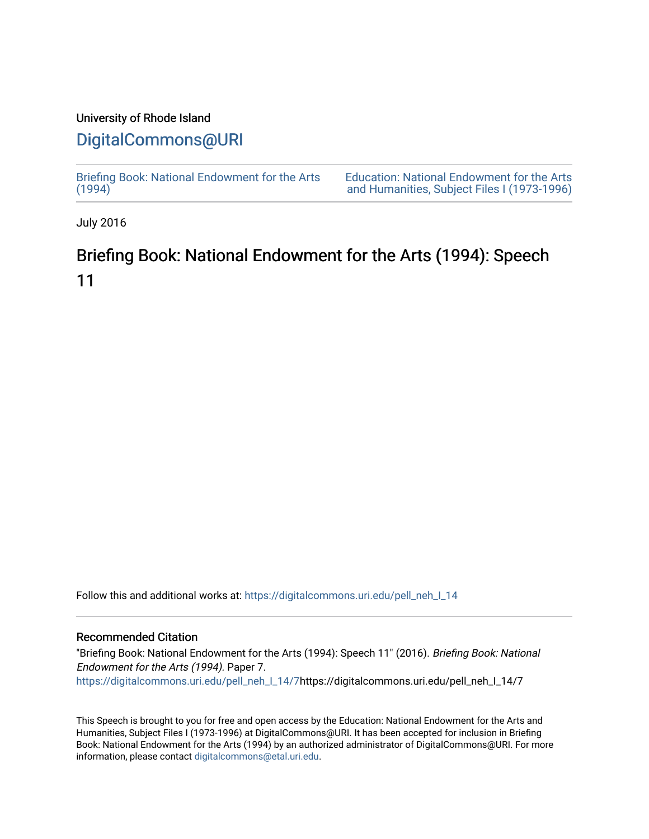### University of Rhode Island

## [DigitalCommons@URI](https://digitalcommons.uri.edu/)

[Briefing Book: National Endowment for the Arts](https://digitalcommons.uri.edu/pell_neh_I_14)  $(1994)$ [Education: National Endowment for the Arts](https://digitalcommons.uri.edu/pell_neh_I)  [and Humanities, Subject Files I \(1973-1996\)](https://digitalcommons.uri.edu/pell_neh_I) 

July 2016

# Briefing Book: National Endowment for the Arts (1994): Speech 11

Follow this and additional works at: [https://digitalcommons.uri.edu/pell\\_neh\\_I\\_14](https://digitalcommons.uri.edu/pell_neh_I_14?utm_source=digitalcommons.uri.edu%2Fpell_neh_I_14%2F7&utm_medium=PDF&utm_campaign=PDFCoverPages) 

### Recommended Citation

"Briefing Book: National Endowment for the Arts (1994): Speech 11" (2016). Briefing Book: National Endowment for the Arts (1994). Paper 7. [https://digitalcommons.uri.edu/pell\\_neh\\_I\\_14/7h](https://digitalcommons.uri.edu/pell_neh_I_14/7?utm_source=digitalcommons.uri.edu%2Fpell_neh_I_14%2F7&utm_medium=PDF&utm_campaign=PDFCoverPages)ttps://digitalcommons.uri.edu/pell\_neh\_I\_14/7

This Speech is brought to you for free and open access by the Education: National Endowment for the Arts and Humanities, Subject Files I (1973-1996) at DigitalCommons@URI. It has been accepted for inclusion in Briefing Book: National Endowment for the Arts (1994) by an authorized administrator of DigitalCommons@URI. For more information, please contact [digitalcommons@etal.uri.edu.](mailto:digitalcommons@etal.uri.edu)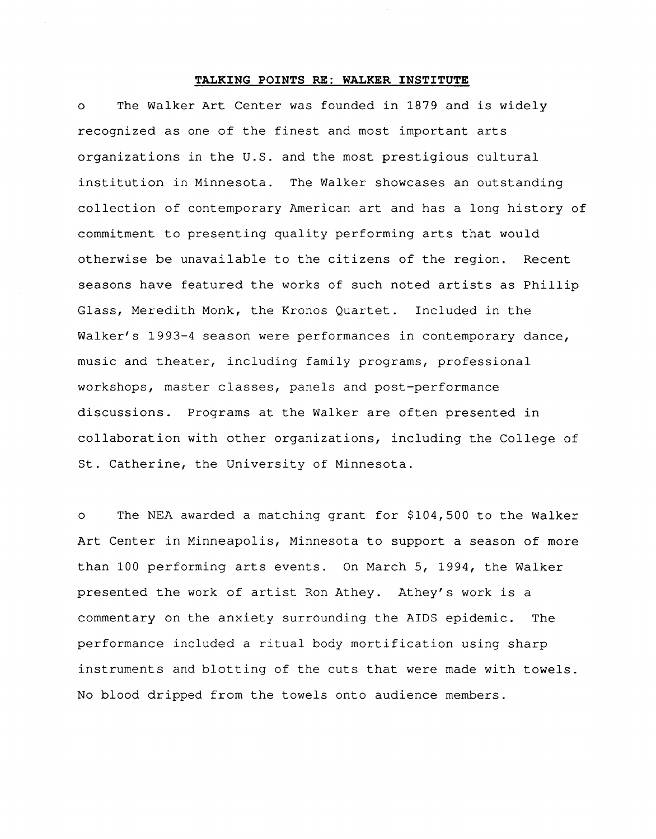#### **TALKING POINTS RE: WALKER INSTITUTE**

o The Walker Art Center was founded in 1879 and is widely recognized as one of the finest and most important arts organizations in the U.S. and the most prestigious cultural institution in Minnesota. The Walker showcases an outstanding collection of contemporary American art and has a long history of commitment to presenting quality performing arts that would otherwise be unavailable to the citizens of the region. Recent seasons have featured the works of such noted artists as Phillip Glass, Meredith Monk, the Kronos Quartet. Included in the Walker's 1993-4 season were performances in contemporary dance, music and theater, including family programs, professional workshops, master classes, panels and post-performance discussions. Programs at the Walker are often presented in collaboration with other organizations, including the College of St. Catherine, the University of Minnesota.

o The NEA awarded a matching grant for \$104,500 to the Walker Art Center in Minneapolis, Minnesota to support a season of more than 100 performing arts events. On March 5, 1994, the Walker presented the work of artist Ron Athey. Athey's work is a commentary on the anxiety surrounding the AIDS epidemic. The performance included a ritual body mortification using sharp instruments and blotting of the cuts that were made with towels. No blood dripped from the towels onto audience members.